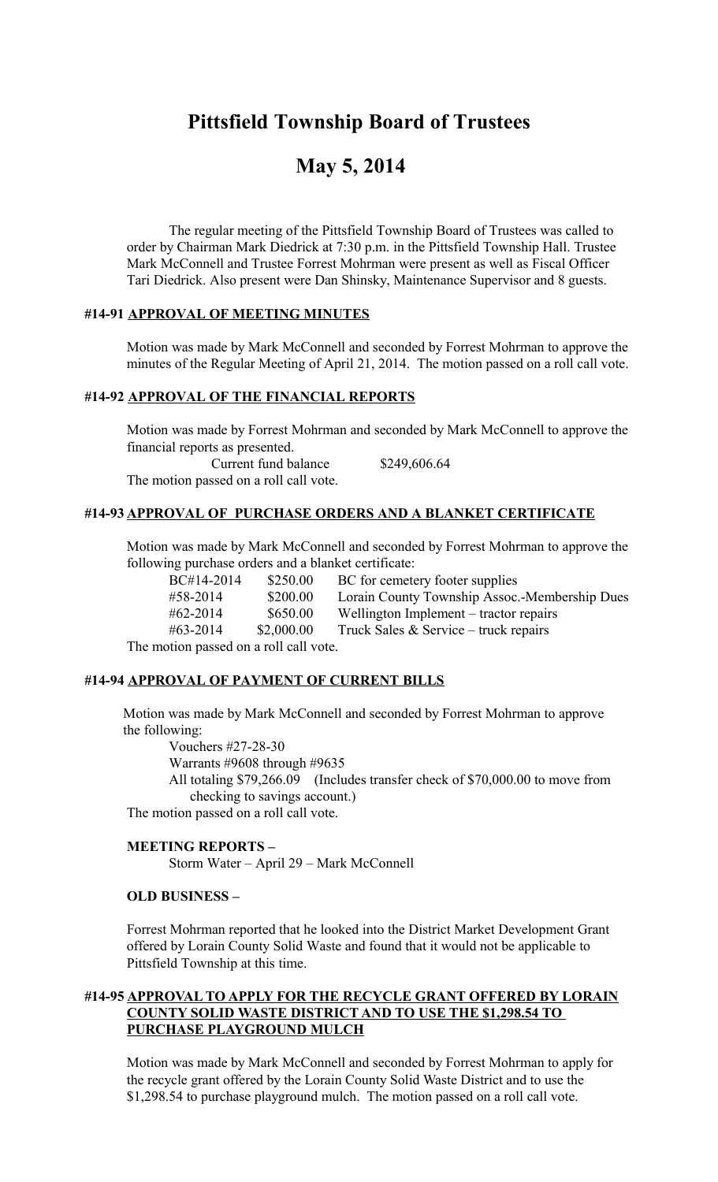# **Pittsfield Township Board of Trustees**

# **May 5, 2014**

The regular meeting of the Pittsfield Township Board of Trustees was called to order by Chairman Mark Diedrick at 7:30 p.m. in the Pittsfield Township Hall. Trustee Mark McConnell and Trustee Forrest Mohrman were present as well as Fiscal Officer Tari Diedrick. Also present were Dan Shinsky, Maintenance Supervisor and 8 guests.

## **#14-91 APPROVAL OF MEETING MINUTES**

Motion was made by Mark McConnell and seconded by Forrest Mohrman to approve the minutes of the Regular Meeting of April 21, 2014. The motion passed on a roll call vote.

### **#14-92 APPROVAL OF THE FINANCIAL REPORTS**

Motion was made by Forrest Mohrman and seconded by Mark McConnell to approve the financial reports as presented. Current fund balance \$249,606.64

The motion passed on a roll call vote.

# **#14-93 APPROVAL OF PURCHASE ORDERS AND A BLANKET CERTIFICATE**

Motion was made by Mark McConnell and seconded by Forrest Mohrman to approve the following purchase orders and a blanket certificate:

| BC#14-2014                       | \$250.00   | BC for cemetery footer supplies               |
|----------------------------------|------------|-----------------------------------------------|
| #58-2014                         | \$200.00   | Lorain County Township Assoc.-Membership Dues |
| $#62 - 2014$                     | \$650.00   | Wellington Implement – tractor repairs        |
| #63-2014                         | \$2,000.00 | Truck Sales $&$ Service – truck repairs       |
| otion neggod on e roll cell voto |            |                                               |

The motion passed on a roll call vote.

#### **#14-94 APPROVAL OF PAYMENT OF CURRENT BILLS**

 Motion was made by Mark McConnell and seconded by Forrest Mohrman to approve the following:

 Vouchers #27-28-30 Warrants #9608 through #9635

All totaling \$79,266.09 (Includes transfer check of \$70,000.00 to move from checking to savings account.)

The motion passed on a roll call vote.

## **MEETING REPORTS –**

Storm Water – April 29 – Mark McConnell

## **OLD BUSINESS –**

Forrest Mohrman reported that he looked into the District Market Development Grant offered by Lorain County Solid Waste and found that it would not be applicable to Pittsfield Township at this time.

### **#14-95 APPROVAL TO APPLY FOR THE RECYCLE GRANT OFFERED BY LORAIN COUNTY SOLID WASTE DISTRICT AND TO USE THE \$1,298.54 TO PURCHASE PLAYGROUND MULCH**

Motion was made by Mark McConnell and seconded by Forrest Mohrman to apply for the recycle grant offered by the Lorain County Solid Waste District and to use the \$1,298.54 to purchase playground mulch. The motion passed on a roll call vote.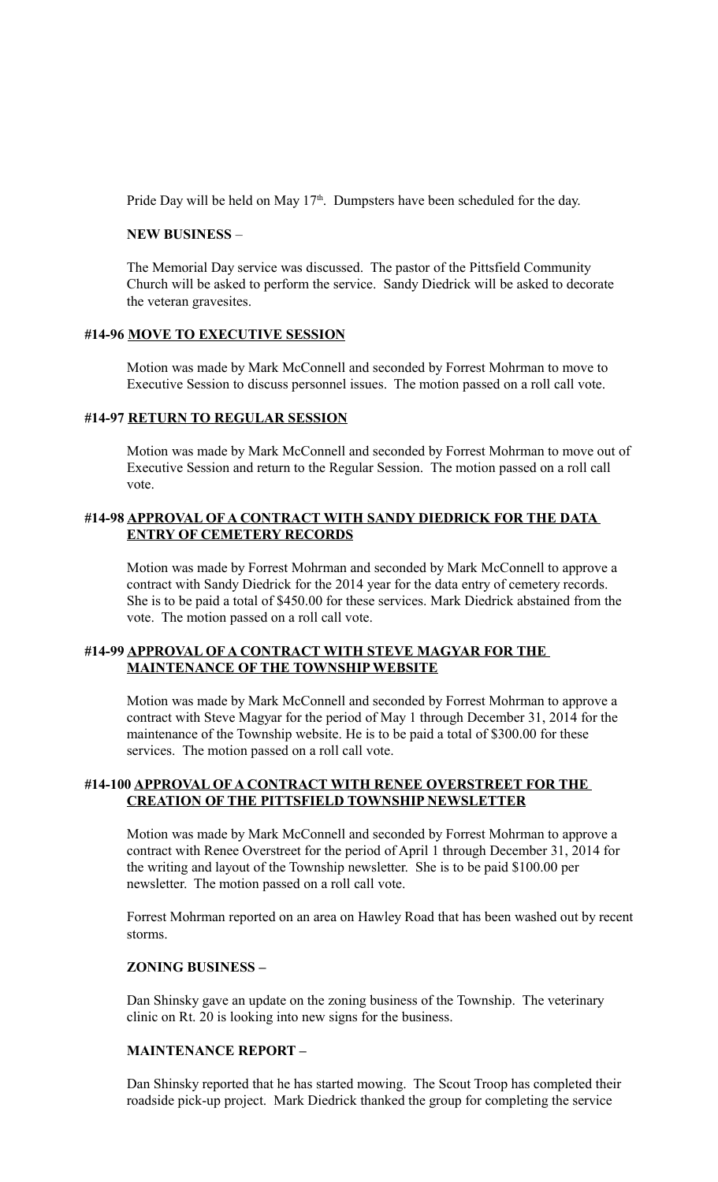Pride Day will be held on May  $17<sup>th</sup>$ . Dumpsters have been scheduled for the day.

#### **NEW BUSINESS** –

The Memorial Day service was discussed. The pastor of the Pittsfield Community Church will be asked to perform the service. Sandy Diedrick will be asked to decorate the veteran gravesites.

#### **#14-96 MOVE TO EXECUTIVE SESSION**

Motion was made by Mark McConnell and seconded by Forrest Mohrman to move to Executive Session to discuss personnel issues. The motion passed on a roll call vote.

## **#14-97 RETURN TO REGULAR SESSION**

Motion was made by Mark McConnell and seconded by Forrest Mohrman to move out of Executive Session and return to the Regular Session. The motion passed on a roll call vote.

## **#14-98 APPROVAL OF A CONTRACT WITH SANDY DIEDRICK FOR THE DATA ENTRY OF CEMETERY RECORDS**

Motion was made by Forrest Mohrman and seconded by Mark McConnell to approve a contract with Sandy Diedrick for the 2014 year for the data entry of cemetery records. She is to be paid a total of \$450.00 for these services. Mark Diedrick abstained from the vote. The motion passed on a roll call vote.

## **#14-99 APPROVAL OF A CONTRACT WITH STEVE MAGYAR FOR THE MAINTENANCE OF THE TOWNSHIP WEBSITE**

Motion was made by Mark McConnell and seconded by Forrest Mohrman to approve a contract with Steve Magyar for the period of May 1 through December 31, 2014 for the maintenance of the Township website. He is to be paid a total of \$300.00 for these services. The motion passed on a roll call vote.

## **#14-100 APPROVAL OF A CONTRACT WITH RENEE OVERSTREET FOR THE CREATION OF THE PITTSFIELD TOWNSHIP NEWSLETTER**

Motion was made by Mark McConnell and seconded by Forrest Mohrman to approve a contract with Renee Overstreet for the period of April 1 through December 31, 2014 for the writing and layout of the Township newsletter. She is to be paid \$100.00 per newsletter. The motion passed on a roll call vote.

Forrest Mohrman reported on an area on Hawley Road that has been washed out by recent storms.

#### **ZONING BUSINESS –**

Dan Shinsky gave an update on the zoning business of the Township. The veterinary clinic on Rt. 20 is looking into new signs for the business.

#### **MAINTENANCE REPORT –**

Dan Shinsky reported that he has started mowing. The Scout Troop has completed their roadside pick-up project. Mark Diedrick thanked the group for completing the service